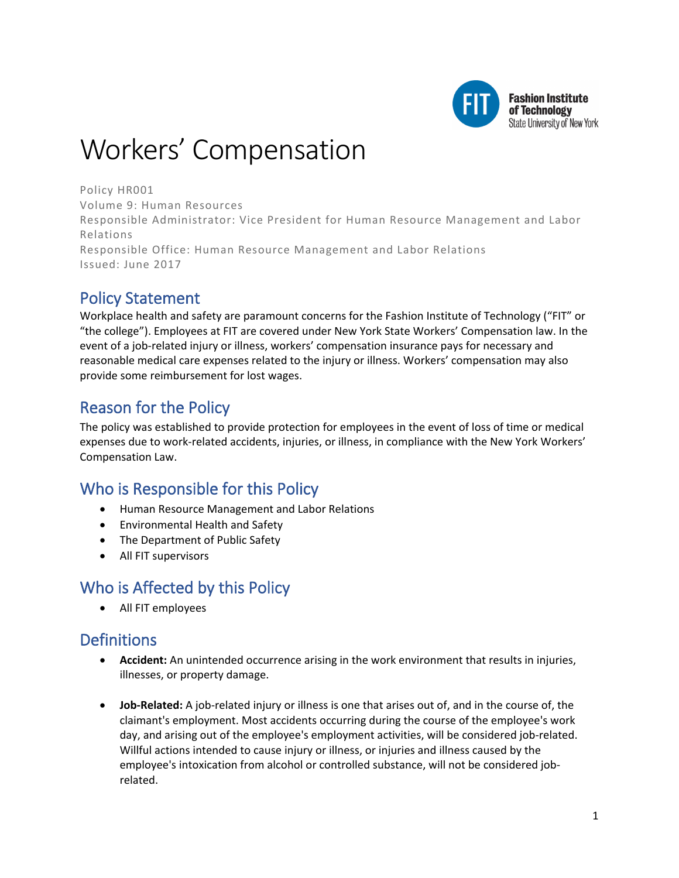

# Workers' Compensation

Policy HR001 Volume 9: Human Resources Responsible Administrator: Vice President for Human Resource Management and Labor Relations Responsible Office: Human Resource Management and Labor Relations Issued: June 2017

# Policy Statement

Workplace health and safety are paramount concerns for the Fashion Institute of Technology ("FIT" or "the college"). Employees at FIT are covered under New York State Workers' Compensation law. In the event of a job-related injury or illness, workers' compensation insurance pays for necessary and reasonable medical care expenses related to the injury or illness. Workers' compensation may also provide some reimbursement for lost wages.

# Reason for the Policy

The policy was established to provide protection for employees in the event of loss of time or medical expenses due to work-related accidents, injuries, or illness, in compliance with the New York Workers' Compensation Law.

# Who is Responsible for this Policy

- Human Resource Management and Labor Relations
- Environmental Health and Safety
- The Department of Public Safety
- All FIT supervisors

### Who is Affected by this Policy

• All FIT employees

# **Definitions**

- **Accident:** An unintended occurrence arising in the work environment that results in injuries, illnesses, or property damage.
- **Job-Related:** A job-related injury or illness is one that arises out of, and in the course of, the claimant's employment. Most accidents occurring during the course of the employee's work day, and arising out of the employee's employment activities, will be considered job-related. Willful actions intended to cause injury or illness, or injuries and illness caused by the employee's intoxication from alcohol or controlled substance, will not be considered jobrelated.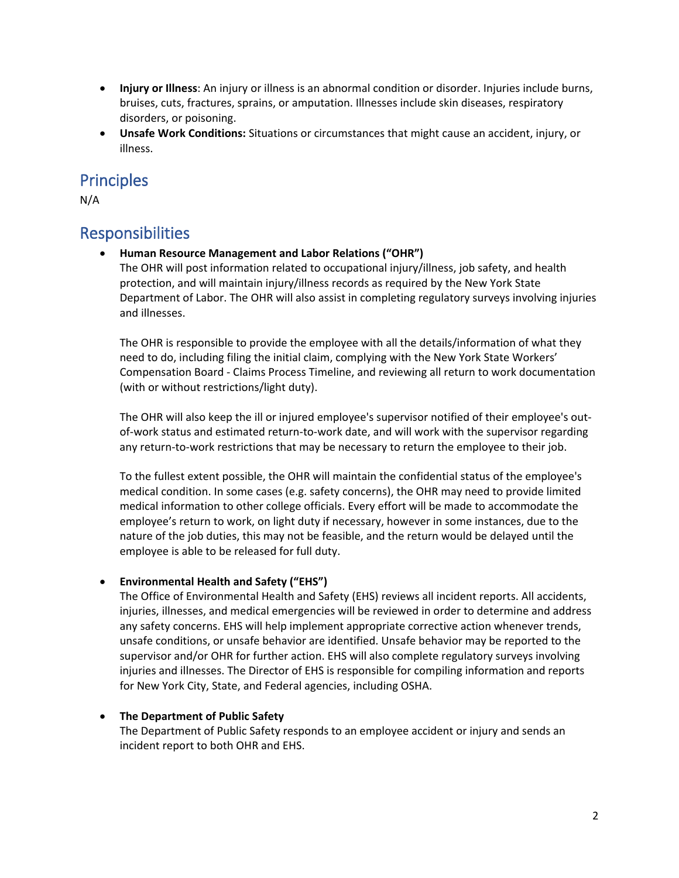- **Injury or Illness**: An injury or illness is an abnormal condition or disorder. Injuries include burns, bruises, cuts, fractures, sprains, or amputation. Illnesses include skin diseases, respiratory disorders, or poisoning.
- **Unsafe Work Conditions:** Situations or circumstances that might cause an accident, injury, or illness.

### **Principles**

N/A

### Responsibilities

• **Human Resource Management and Labor Relations ("OHR")**

The OHR will post information related to occupational injury/illness, job safety, and health protection, and will maintain injury/illness records as required by the New York State Department of Labor. The OHR will also assist in completing regulatory surveys involving injuries and illnesses.

The OHR is responsible to provide the employee with all the details/information of what they need to do, including filing the initial claim, complying with the New York State Workers' Compensation Board - Claims Process Timeline, and reviewing all return to work documentation (with or without restrictions/light duty).

The OHR will also keep the ill or injured employee's supervisor notified of their employee's outof-work status and estimated return-to-work date, and will work with the supervisor regarding any return-to-work restrictions that may be necessary to return the employee to their job.

To the fullest extent possible, the OHR will maintain the confidential status of the employee's medical condition. In some cases (e.g. safety concerns), the OHR may need to provide limited medical information to other college officials. Every effort will be made to accommodate the employee's return to work, on light duty if necessary, however in some instances, due to the nature of the job duties, this may not be feasible, and the return would be delayed until the employee is able to be released for full duty.

#### • **Environmental Health and Safety ("EHS")**

The Office of Environmental Health and Safety (EHS) reviews all incident reports. All accidents, injuries, illnesses, and medical emergencies will be reviewed in order to determine and address any safety concerns. EHS will help implement appropriate corrective action whenever trends, unsafe conditions, or unsafe behavior are identified. Unsafe behavior may be reported to the supervisor and/or OHR for further action. EHS will also complete regulatory surveys involving injuries and illnesses. The Director of EHS is responsible for compiling information and reports for New York City, State, and Federal agencies, including OSHA.

#### • **The Department of Public Safety**

The Department of Public Safety responds to an employee accident or injury and sends an incident report to both OHR and EHS.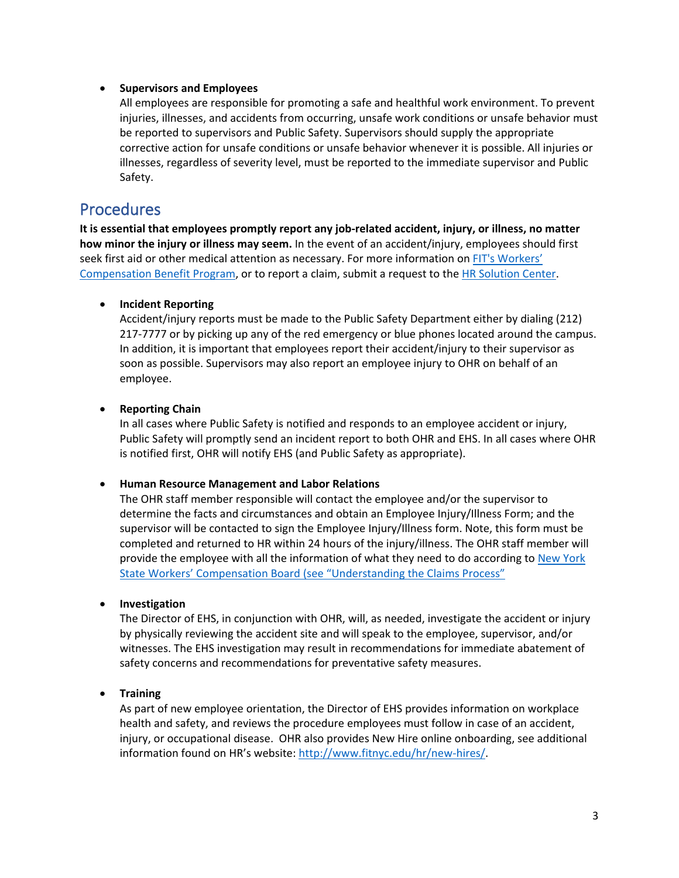#### • **Supervisors and Employees**

All employees are responsible for promoting a safe and healthful work environment. To prevent injuries, illnesses, and accidents from occurring, unsafe work conditions or unsafe behavior must be reported to supervisors and Public Safety. Supervisors should supply the appropriate corrective action for unsafe conditions or unsafe behavior whenever it is possible. All injuries or illnesses, regardless of severity level, must be reported to the immediate supervisor and Public Safety.

### **Procedures**

**It is essential that employees promptly report any job-related accident, injury, or illness, no matter how minor the injury or illness may seem.** In the event of an accident/injury, employees should first seek first aid or other medical attention as necessary. For more information on [FIT's Workers'](http://www.fitnyc.edu/hr/benefits/workers-comp/index.php)  [Compensation Benefit Program,](http://www.fitnyc.edu/hr/benefits/workers-comp/index.php) or to report a claim, submit a request to the [HR Solution Center.](https://app.smartsheet.com/b/form/51466cf793144994847961c6aca6ea6b)

#### • **Incident Reporting**

Accident/injury reports must be made to the Public Safety Department either by dialing (212) 217-7777 or by picking up any of the red emergency or blue phones located around the campus. In addition, it is important that employees report their accident/injury to their supervisor as soon as possible. Supervisors may also report an employee injury to OHR on behalf of an employee.

#### • **Reporting Chain**

In all cases where Public Safety is notified and responds to an employee accident or injury, Public Safety will promptly send an incident report to both OHR and EHS. In all cases where OHR is notified first, OHR will notify EHS (and Public Safety as appropriate).

#### • **Human Resource Management and Labor Relations**

The OHR staff member responsible will contact the employee and/or the supervisor to determine the facts and circumstances and obtain an Employee Injury/Illness Form; and the supervisor will be contacted to sign the Employee Injury/Illness form. Note, this form must be completed and returned to HR within 24 hours of the injury/illness. The OHR staff member will provide the employee with all the information of what they need to do according to [New York](http://www.wcb.ny.gov/content/main/onthejob/HowSystemWorks.jsp)  [State Workers' Compensation Board \(see "Understanding the Claims Process"](http://www.wcb.ny.gov/content/main/onthejob/HowSystemWorks.jsp)

#### • **Investigation**

The Director of EHS, in conjunction with OHR, will, as needed, investigate the accident or injury by physically reviewing the accident site and will speak to the employee, supervisor, and/or witnesses. The EHS investigation may result in recommendations for immediate abatement of safety concerns and recommendations for preventative safety measures.

#### • **Training**

As part of new employee orientation, the Director of EHS provides information on workplace health and safety, and reviews the procedure employees must follow in case of an accident, injury, or occupational disease. OHR also provides New Hire online onboarding, see additional information found on HR's website: [http://www.fitnyc.edu/hr/new-hires/.](http://www.fitnyc.edu/hr/new-hires/)